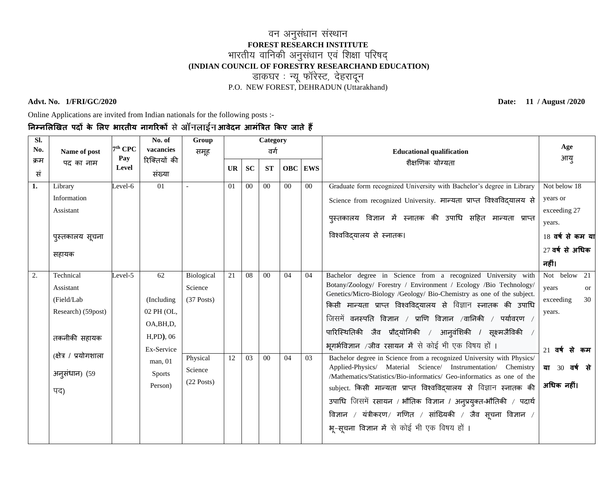#### <u>वन अनुसंधान संस्थान</u> **FOREST RESEARCH INSTITUTE** भारतीय वानिकी अनुसंधान एवं शिक्षा परिषद् **(INDIAN COUNCIL OF FORESTRY RESEARCHAND EDUCATION)** ------<br>जन्म अर्थ अपरेश्ट, देहरादून<br>---------P.O. NEW FOREST, DEHRADUN (Uttarakhand)

#### **Advt. No. 1/FRI/GC/2020 Date: 11 / August /2020**

Online Applications are invited from Indian nationals for the following posts :-

### **निम्िलिखित पदों के लिए भारतीय िागररकों** से **आवेदि आमंत्रित ककए जाते हैं**

| SI.  |                       |                  | No. of                    | Group        |           |                | Category       |                                  |         |                                                                                                                                         | Age              |
|------|-----------------------|------------------|---------------------------|--------------|-----------|----------------|----------------|----------------------------------|---------|-----------------------------------------------------------------------------------------------------------------------------------------|------------------|
| No.  | Name of post          | $7th$ CPC<br>Pay | vacancies<br>रिक्तियों की | समूह         | वर्ग      |                |                | <b>Educational qualification</b> | आयु     |                                                                                                                                         |                  |
| क्रम | पद का नाम             | Level            |                           |              | <b>UR</b> | <b>SC</b>      | <b>ST</b>      |                                  | OBC EWS | शैक्षणिक योग्यता                                                                                                                        |                  |
| सं   |                       |                  | संख्या                    |              |           |                |                |                                  |         |                                                                                                                                         |                  |
| 1.   | Library               | Level-6          | 01                        |              | 01        | 00             | 0 <sup>0</sup> | $00\,$                           | 00      | Graduate form recognized University with Bachelor's degree in Library                                                                   | Not below 18     |
|      | Information           |                  |                           |              |           |                |                |                                  |         | Science from recognized University. मान्यता प्राप्त विश्वविदयालय से                                                                     | years or         |
|      | Assistant             |                  |                           |              |           |                |                |                                  |         |                                                                                                                                         | exceeding 27     |
|      |                       |                  |                           |              |           |                |                |                                  |         | पुस्तकालय विज्ञान में स्नातक की उपाधि सहित मान्यता प्राप्त                                                                              | years.           |
|      | पुस्तकालय सूचना       |                  |                           |              |           |                |                |                                  |         | विश्वविद्यालय से स्नातक।                                                                                                                | 18 वर्ष से कम या |
|      | सहायक                 |                  |                           |              |           |                |                |                                  |         |                                                                                                                                         | 27 वर्ष से अधिक  |
|      |                       |                  |                           |              |           |                |                |                                  |         |                                                                                                                                         | नहीं।            |
| 2.   | Technical             | Level-5          | 62                        | Biological   | 21        | 08             | 0 <sub>0</sub> | 04                               | 04      | Bachelor degree in Science from a recognized University with                                                                            | Not below<br>21  |
|      | Assistant             |                  |                           | Science      |           |                |                |                                  |         | Botany/Zoology/ Forestry / Environment / Ecology /Bio Technology/                                                                       | years<br>or      |
|      | (Field/Lab            |                  | (Including                | $(37$ Posts) |           |                |                |                                  |         | Genetics/Micro-Biology /Geology/ Bio-Chemistry as one of the subject.<br>किसी मान्यता प्राप्त विश्वविदयालय से विज्ञान स्नातक की उपाधि   | exceeding<br>30  |
|      | Research) (59post)    |                  | 02 PH (OL,                |              |           |                |                |                                  |         | जिसमें वनस्पति विज्ञान / प्राणि विज्ञान /वानिकी / पर्यावरण /                                                                            | years.           |
|      |                       |                  | OA, BH, D,                |              |           |                |                |                                  |         |                                                                                                                                         |                  |
|      | तकनीकी सहायक          |                  | $H, PD$ , 06              |              |           |                |                |                                  |         | पारिस्थितिकी जैव प्रौद्योगिकी / आन् <b>वंशिकी / सूक्ष्मजैविकी</b>                                                                       |                  |
|      | (क्षेत्र / प्रयोगशाला |                  | Ex-Service                |              |           |                |                |                                  |         | भूगर्भविज्ञान /जीव रसायन में से कोई भी एक विषय हों ।                                                                                    | $21$ वर्षसे कम   |
|      |                       |                  | man, 01                   | Physical     | 12        | 0 <sup>3</sup> | 0 <sub>0</sub> | 04                               | 03      | Bachelor degree in Science from a recognized University with Physics/                                                                   |                  |
|      | अनुसंधान) (59         |                  | <b>Sports</b>             | Science      |           |                |                |                                  |         | Applied-Physics/ Material Science/ Instrumentation/ Chemistry<br>/Mathematics/Statistics/Bio-informatics/ Geo-informatics as one of the | या 30 वर्ष से    |
|      | पद)                   |                  | Person)                   | $(22$ Posts) |           |                |                |                                  |         | subject. किसी मान्यता प्राप्त विश्वविद् <b>यालय से विज्ञान स्नातक</b> की                                                                | अधिक नहीं।       |
|      |                       |                  |                           |              |           |                |                |                                  |         | उपाधि जिसमें रसायन / भौतिक विज्ञान / अनुप्रयुक्त-भौतिकी / पदार्थ                                                                        |                  |
|      |                       |                  |                           |              |           |                |                |                                  |         | विज्ञान / यंत्रीकरण/ गणित / सांख्यिकी / जैव सूचना विज्ञान /                                                                             |                  |
|      |                       |                  |                           |              |           |                |                |                                  |         | भू-सूचना विज्ञान में से कोई भी एक विषय हों।                                                                                             |                  |
|      |                       |                  |                           |              |           |                |                |                                  |         |                                                                                                                                         |                  |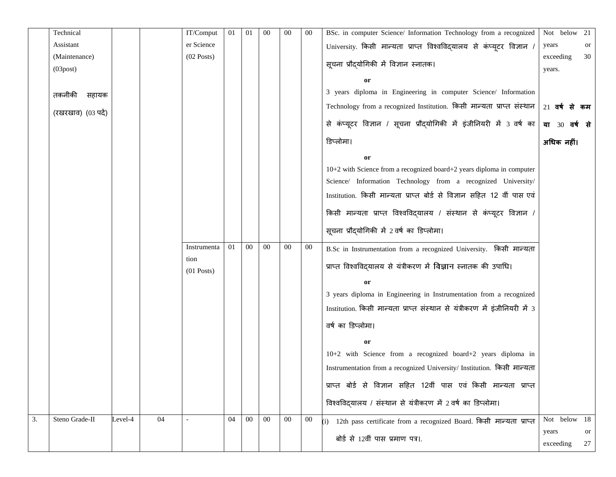|    | Technical           |         |    | IT/Comput            | 01 | 01     | 00     | 00     | $00\,$ | BSc. in computer Science/ Information Technology from a recognized         | Not below 21  |    |
|----|---------------------|---------|----|----------------------|----|--------|--------|--------|--------|----------------------------------------------------------------------------|---------------|----|
|    | Assistant           |         |    | er Science           |    |        |        |        |        | University. किसी मान्यता प्राप्त विश्वविद्यालय से कंप्यूटर विज्ञान /       | years         | or |
|    | (Maintenance)       |         |    | $(02$ Posts)         |    |        |        |        |        | सूचना प्रौद्योगिकी में विज्ञान स्नातक।                                     | exceeding     | 30 |
|    | $(03$ post $)$      |         |    |                      |    |        |        |        |        |                                                                            | years.        |    |
|    |                     |         |    |                      |    |        |        |        |        | 0r                                                                         |               |    |
|    | तकनीकी<br>सहायक     |         |    |                      |    |        |        |        |        | 3 years diploma in Engineering in computer Science/ Information            |               |    |
|    | (रखरखाव) (03 पर्दे) |         |    |                      |    |        |        |        |        | Technology from a recognized Institution. किसी मान्यता प्राप्त संस्थान     | 21 वर्ष से कम |    |
|    |                     |         |    |                      |    |        |        |        |        | से कंप्यूटर विज्ञान / सूचना प्रौद्योगिकी में इंजीनियरी में 3 वर्ष का       | या 30 वर्ष से |    |
|    |                     |         |    |                      |    |        |        |        |        | डिप्लोमा।                                                                  | अधिक नहीं।    |    |
|    |                     |         |    |                      |    |        |        |        |        | or                                                                         |               |    |
|    |                     |         |    |                      |    |        |        |        |        | 10+2 with Science from a recognized board+2 years diploma in computer      |               |    |
|    |                     |         |    |                      |    |        |        |        |        | Science/ Information Technology from a recognized University/              |               |    |
|    |                     |         |    |                      |    |        |        |        |        | Institution. किसी मान्यता प्राप्त बोर्ड से विज्ञान सहित 12 वीं पास एवं     |               |    |
|    |                     |         |    |                      |    |        |        |        |        | किसी मान्यता प्राप्त विश्वविदयालय / संस्थान से कंप्यूटर विज्ञान /          |               |    |
|    |                     |         |    |                      |    |        |        |        |        | सूचना प्रौद्योगिकी में 2 वर्ष का डिप्लोमा।                                 |               |    |
|    |                     |         |    | Instrumenta          | 01 | $00\,$ | $00\,$ | $00\,$ | $00\,$ | B.Sc in Instrumentation from a recognized University. किसी मान्यता         |               |    |
|    |                     |         |    | tion<br>$(01$ Posts) |    |        |        |        |        | प्राप्त विश्वविदयालय से यंत्रीकरण में विज्ञान स्नातक की उपाधि।             |               |    |
|    |                     |         |    |                      |    |        |        |        |        | or                                                                         |               |    |
|    |                     |         |    |                      |    |        |        |        |        | 3 years diploma in Engineering in Instrumentation from a recognized        |               |    |
|    |                     |         |    |                      |    |        |        |        |        | Institution. किसी मान्यता प्राप्त संस्थान से यंत्रीकरण में इंजीनियरी में 3 |               |    |
|    |                     |         |    |                      |    |        |        |        |        | वर्ष का डिप्लोमा।                                                          |               |    |
|    |                     |         |    |                      |    |        |        |        |        | or                                                                         |               |    |
|    |                     |         |    |                      |    |        |        |        |        | 10+2 with Science from a recognized board+2 years diploma in               |               |    |
|    |                     |         |    |                      |    |        |        |        |        | Instrumentation from a recognized University/ Institution. किसी मान्यता    |               |    |
|    |                     |         |    |                      |    |        |        |        |        | प्राप्त बोर्ड से विज्ञान सहित 12वीं पास एवं किसी मान्यता प्राप्त           |               |    |
|    |                     |         |    |                      |    |        |        |        |        |                                                                            |               |    |
|    |                     |         |    |                      |    |        |        |        |        | विश्वविदयालय / संस्थान से यंत्रीकरण में 2 वर्ष का डिप्लोमा।                |               |    |
| 3. | Steno Grade-II      | Level-4 | 04 |                      | 04 | $00\,$ | $00\,$ | $00\,$ | $00\,$ | (i) 12th pass certificate from a recognized Board. किसी मान्यता प्राप्त    | Not below 18  |    |
|    |                     |         |    |                      |    |        |        |        |        | बोर्ड से 12वीं पास प्रमाण पत्र।.                                           | years         | or |
|    |                     |         |    |                      |    |        |        |        |        |                                                                            | exceeding     | 27 |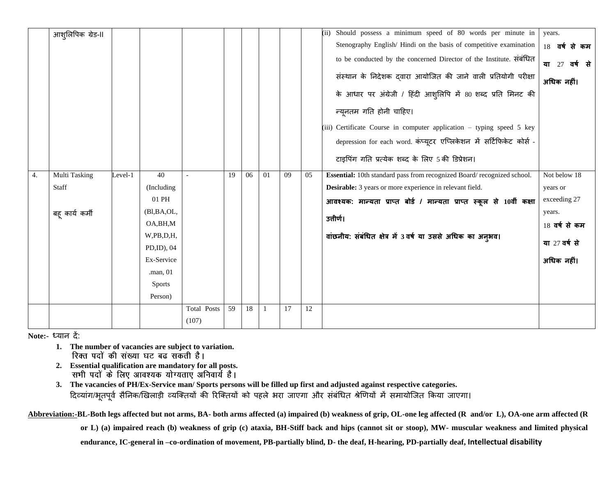|    | आश् <b>लिपिक</b> ग्रेड-II |         |               |             |    |    |    |    |    | (ii) Should possess a minimum speed of 80 words per minute in          | years.        |
|----|---------------------------|---------|---------------|-------------|----|----|----|----|----|------------------------------------------------------------------------|---------------|
|    |                           |         |               |             |    |    |    |    |    | Stenography English/Hindi on the basis of competitive examination      | 18 वर्ष से कम |
|    |                           |         |               |             |    |    |    |    |    | to be conducted by the concerned Director of the Institute. संबंधित    | या 27 वर्ष से |
|    |                           |         |               |             |    |    |    |    |    | संस्थान के निदेशक द्वारा आयोजित की जाने वाली प्रतियोगी परीक्षा         | अधिक नहीं।    |
|    |                           |         |               |             |    |    |    |    |    | के आधार पर अंग्रेजी / हिंदी आशुलिपि में 80 शब्द प्रति मिनट की          |               |
|    |                           |         |               |             |    |    |    |    |    | न्यूनतम गति होनी चाहिए।                                                |               |
|    |                           |         |               |             |    |    |    |    |    | (iii) Certificate Course in computer application - typing speed 5 key  |               |
|    |                           |         |               |             |    |    |    |    |    | depression for each word. कंप्यूटर एप्लिकेशन में सर्टिफिकेट कोर्स -    |               |
|    |                           |         |               |             |    |    |    |    |    | टाइपिंग गति प्रत्येक शब्द के लिए 5 की डिप्रेशन।                        |               |
| 4. | <b>Multi Tasking</b>      | Level-1 | 40            |             | 19 | 06 | 01 | 09 | 05 | Essential: 10th standard pass from recognized Board/recognized school. | Not below 18  |
|    | Staff                     |         | (Including    |             |    |    |    |    |    | Desirable: 3 years or more experience in relevant field.               | years or      |
|    |                           |         | 01 PH         |             |    |    |    |    |    | आवश्यक: मान्यता प्राप्त बोर्ड / मान्यता प्राप्त स्कूल से 10वीं कक्षा   | exceeding 27  |
|    | बह् कार्य कर्मी           |         | (Bl,BA,OL,    |             |    |    |    |    |    |                                                                        | years.        |
|    |                           |         | OA, BH, M     |             |    |    |    |    |    | उत्तीर्ण।                                                              | 18 वर्ष से कम |
|    |                           |         | W,PB,D,H,     |             |    |    |    |    |    | वांछनीय: संबंधित क्षेत्र में 3 वर्ष या उससे अधिक का अनुभव।             |               |
|    |                           |         | PD,ID), 04    |             |    |    |    |    |    |                                                                        | या 27 वर्ष से |
|    |                           |         | Ex-Service    |             |    |    |    |    |    |                                                                        | अधिक नहीं।    |
|    |                           |         | $.$ man, 01   |             |    |    |    |    |    |                                                                        |               |
|    |                           |         | <b>Sports</b> |             |    |    |    |    |    |                                                                        |               |
|    |                           |         | Person)       |             |    |    |    |    |    |                                                                        |               |
|    |                           |         |               | Total Posts | 59 | 18 | 1  | 17 | 12 |                                                                        |               |
|    |                           |         |               | (107)       |    |    |    |    |    |                                                                        |               |

**Note:-** ध्यान दें:

- **1. The number of vacancies are subject to variation.**
- **2. Essential qualification are mandatory for all posts.**
- **3. The vacancies of PH/Ex-Service man/ Sports persons will be filled up first and adjusted against respective categories.** दिव्यांग/भूतपूर्व सैनिक/खिलाड़ी व्यक्तियों की रिक्तियों को पहले भरा जाएगा और संबंधित श्रेणियों में समायोजित किया जाएगा।

**Abbreviation:-BL-Both legs affected but not arms, BA- both arms affected (a) impaired (b) weakness of grip, OL-one leg affected (R and/or L), OA-one arm affected (R**

**or L) (a) impaired reach (b) weakness of grip (c) ataxia, BH-Stiff back and hips (cannot sit or stoop), MW- muscular weakness and limited physical** 

**endurance, IC-general in –co-ordination of movement, PB-partially blind, D- the deaf, H-hearing, PD-partially deaf, Intellectual disability**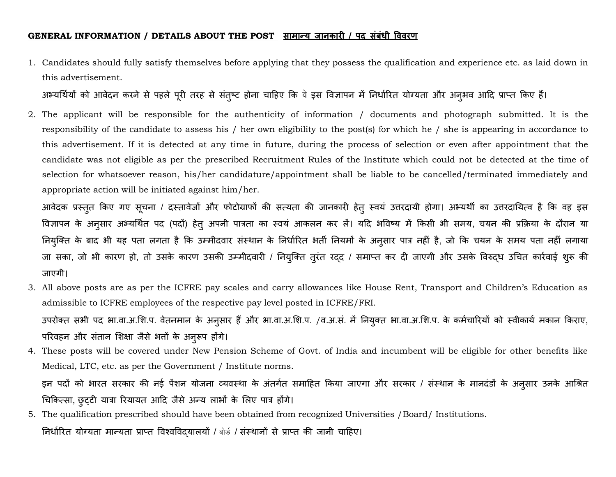#### GENERAL INFORMATION / DETAILS ABOUT THE POST सामान्य जानकारी / पद संबंधी विवरण

1. Candidates should fully satisfy themselves before applying that they possess the qualification and experience etc. as laid down in this advertisement.

अभ्यर्थियों को आवेदन करने से पहले पूरी तरह से संतुष्ट होना चाहिए कि वे इस विज्ञापन में निर्धारित योग्यता और अनुभव आदि प्राप्त किए हैं।

2. The applicant will be responsible for the authenticity of information / documents and photograph submitted. It is the responsibility of the candidate to assess his / her own eligibility to the post(s) for which he / she is appearing in accordance to this advertisement. If it is detected at any time in future, during the process of selection or even after appointment that the candidate was not eligible as per the prescribed Recruitment Rules of the Institute which could not be detected at the time of selection for whatsoever reason, his/her candidature/appointment shall be liable to be cancelled/terminated immediately and appropriate action will be initiated against him/her.

आवेदक प्रस्तुत किए गए सूचना / दस्तावेजों और फोटोग्राफों की सत्यता की जानकारी हेतू स्वयं उत्तरदायी होगा। अभ्यर्थी का उत्तरदायित्व है कि वह इस विज्ञापन के अनुसार अभ्यर्थित पद (पदों) हेतु अपनी पात्रता का स्वयं आकलन कर लें। यदि भविष्य में किसी भी समय, चयन की प्रक्रिया के दौरान या नियुक्ति के बाद भी यह पता लगता है कि उम्मीदवार संस्थान के निर्धारित भर्ती नियमों के अनुसार पात्र नहीं है, जो कि चयन के समय पता नहीं लगाया जा सका, जो भी कारण हो, तो उसके कारण उसकी उम्मीदवारी / नियुक्ति तुरंत रदद / समाप्त कर दी जाएगी और उसके विरुद्ध उचित कार्रवाई शुरू की जाएर्ी।

3. All above posts are as per the ICFRE pay scales and carry allowances like House Rent, Transport and Children's Education as admissible to ICFRE employees of the respective pay level posted in ICFRE/FRI.

उपरोक्त सभी पद भा.वा.अ.शि.प. वेतनमान के अनुसार हैं और भा.वा.अ.शि.प. /व.अ.सं. में नियुक्त भा.वा.अ.शि.प. के कर्मचारियों को स्वीकार्य मकान किराए, परिवहन और संतान शिक्षा जैसे भत्तों के अनुरूप होंगे।

4. These posts will be covered under New Pension Scheme of Govt. of India and incumbent will be eligible for other benefits like Medical, LTC, etc. as per the Government / Institute norms. इन पदों को भारत सरकार की नई पेंशन योजना व्यवस्था के अंतर्गत समाहित किया जाएगा और सरकार / संस्थान के मानदंडों के अनुसार उनके आश्रित

चिकित्सा, छुट्टी यात्रा रियायत आदि जैसे अन्य लाभों के लिए पात्र होंगे।

5. The qualification prescribed should have been obtained from recognized Universities /Board/ Institutions. निर्धारित योग्यता मान्यता प्राप्त विश्वविदयालयों / बोर्ड / संस्थानों से प्राप्त की जानी चाहिए।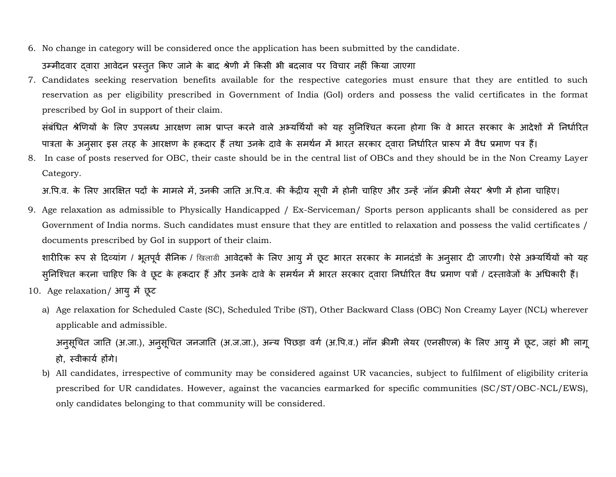6. No change in category will be considered once the application has been submitted by the candidate.

#### उम्मीदवार दवारा आवेदन प्रस्तुत किए जाने के बाद श्रेणी में किसी भी बदलाव पर विचार नहीं किया जाएगा

7. Candidates seeking reservation benefits available for the respective categories must ensure that they are entitled to such reservation as per eligibility prescribed in Government of India (GoI) orders and possess the valid certificates in the format prescribed by GoI in support of their claim.

संबंधित श्रेणियों के लिए उपलब्ध आरक्षण लाभ प्राप्त करने वाले अभ्यर्थियों को यह सुनिश्चित करना होगा कि वे भारत सरकार के आदेशों में निर्धारित पात्रता के अनुसार इस तरह के आरक्षण के हकदार हैं तथा उनके दावे के समर्थन में भारत सरकार दवारा निर्धारित प्रारूप में वैध प्रमाण पत्र हैं।

8. In case of posts reserved for OBC, their caste should be in the central list of OBCs and they should be in the Non Creamy Layer Category.

अ.पि.व. के लिए आरक्षित पदों के मामले में, उनकी जाति अ.पि.व. की केंद्रीय सूची में होनी चाहिए और उन्हें 'नॉन क्रीमी लेयर' श्रेणी में होना चाहिए।

9. Age relaxation as admissible to Physically Handicapped / Ex-Serviceman/ Sports person applicants shall be considered as per Government of India norms. Such candidates must ensure that they are entitled to relaxation and possess the valid certificates / documents prescribed by GoI in support of their claim.

शारीरिक रूप से दिव्यांग / भूतपूर्व सैनिक / खिलाडी आवेदकों के लिए आयु में छूट भारत सरकार के मानदंडों के अनुसार दी जाएगी। ऐसे अभ्यर्थियों को यह सुनिश्चित करना चाहिए कि वे छूट के हकदार हैं और उनके दावे के समर्थन में भारत सरकार दवारा निर्धारित वैध प्रमाण पत्रों / दस्तावेजों के अधिकारी हैं।

- 10. Age relaxation/ आयुमें छूट
	- a) Age relaxation for Scheduled Caste (SC), Scheduled Tribe (ST), Other Backward Class (OBC) Non Creamy Layer (NCL) wherever applicable and admissible.

अनुसूचित जाति (अ.जा.), अनुसूचित जनजाति (अ.ज.जा.), अन्य पिछड़ा वर्ग (अ.पि.व.) नॉन क्रीमी लेयर (एनसीएल) के लिए आयु में छूट, जहां भी लागू हो, स्वीकार्य होंगे।

b) All candidates, irrespective of community may be considered against UR vacancies, subject to fulfilment of eligibility criteria prescribed for UR candidates. However, against the vacancies earmarked for specific communities (SC/ST/OBC-NCL/EWS), only candidates belonging to that community will be considered.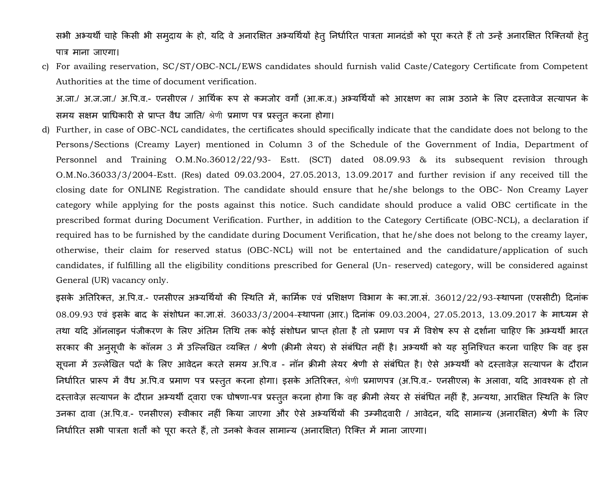सभी अभ्यर्थी चाहे किसी भी समुदाय के हो, यदि वे अनारक्षित अभ्यर्थियों हेतू निर्धारित पात्रता मानदंडों को पूरा करते हैं तो उन्हें अनारक्षित रिक्तियों हेतू प**k**त्र माना जाएर्ा।

c) For availing reservation, SC/ST/OBC-NCL/EWS candidates should furnish valid Caste/Category Certificate from Competent Authorities at the time of document verification.

अ.जा./ अ.ज.जा./ अ.पि.व.- एनसीएल / आर्थिक रूप से कमजोर वर्गों (आ.क.व.) अभ्यर्थियों को आरक्षण का लाभ उठाने के लिए दस्तावेज सत्यापन के समय सक्षम प्राधिकारी से प्राप्त वैध जाति/ श्रेणी प्रमाण पत्र प्रस्तुत करना होगा।

d) Further, in case of OBC-NCL candidates, the certificates should specifically indicate that the candidate does not belong to the Persons/Sections (Creamy Layer) mentioned in Column 3 of the Schedule of the Government of India, Department of Personnel and Training O.M.No.36012/22/93- Estt. (SCT) dated 08.09.93 & its subsequent revision through O.M.No.36033/3/2004-Estt. (Res) dated 09.03.2004, 27.05.2013, 13.09.2017 and further revision if any received till the closing date for ONLINE Registration. The candidate should ensure that he/she belongs to the OBC- Non Creamy Layer category while applying for the posts against this notice. Such candidate should produce a valid OBC certificate in the prescribed format during Document Verification. Further, in addition to the Category Certificate (OBC-NCL), a declaration if required has to be furnished by the candidate during Document Verification, that he/she does not belong to the creamy layer, otherwise, their claim for reserved status (OBC-NCL) will not be entertained and the candidature/application of such candidates, if fulfilling all the eligibility conditions prescribed for General (Un- reserved) category, will be considered against General (UR) vacancy only.

इसके अतिरिक्त, अ.पि.व.- एनसीएल अभ्यर्थियों की स्थिति में, कार्मिक एवं प्रशिक्षण विभाग के का.ज्ञा.सं. 36012/22/93-स्थापना (एससीटी) दिनांक 08.09.93 एवं इसके बाद के संशोिन का.ज्ञा.सं. 36033/3/2004-स्िापना (आि.) हदनांक 09.03.2004, 27.05.2013, 13.09.2017 के माध्यम से तथा यदि ऑनलाइन पंजीकरण के लिए अंतिम तिथि तक कोई संशोधन प्राप्त होता है तो प्रमाण पत्र में विशेष रूप से दर्शाना चाहिए कि अभ्यर्थी भारत सरकार की अनुसूची के कॉलम 3 में उल्लिखित व्यक्ति / श्रेणी (क्रीमी लेयर) से संबंधित नहीं है। अभ्यर्थी को यह सुनिश्चित करना चाहिए कि वह इस सूचना में उल्लेखित पदों के लिए आवेदन करते समय अ.पि.व - नॉन क्रीमी लेयर श्रेणी से संबंधित है। ऐसे अभ्यर्थी को दस्तावेज़ सत्यापन के दौरान निर्धारित प्रारूप में वैध अ.पि.व प्रमाण पत्र प्रस्तुत करना होगा। इसके अतिरिक्त, श्रेणी प्रमाणपत्र (अ.पि.व.- एनसीएल) के अलावा, यदि आवश्यक हो तो दस्तावेज़ सत्यापन के दौरान अभ्यर्थी दवारा एक घोषणा-पत्र प्रस्तुत करना होगा कि वह क्रीमी लेयर से संबंधित नहीं है, अन्यथा, आरक्षित स्थिति के लिए उनका दावा (अ.पि.व.- एनसीएल) स्वीकार नहीं किया जाएगा और ऐसे अभ्यर्थियों की उम्मीदवारी / आवेदन, यदि सामान्य (अनारक्षित) श्रेणी के लिए निर्धारित सभी पात्रता शर्तों को पूरा करते हैं, तो उनको केवल सामान्य (अनारक्षित) रिक्ति में माना जाएगा।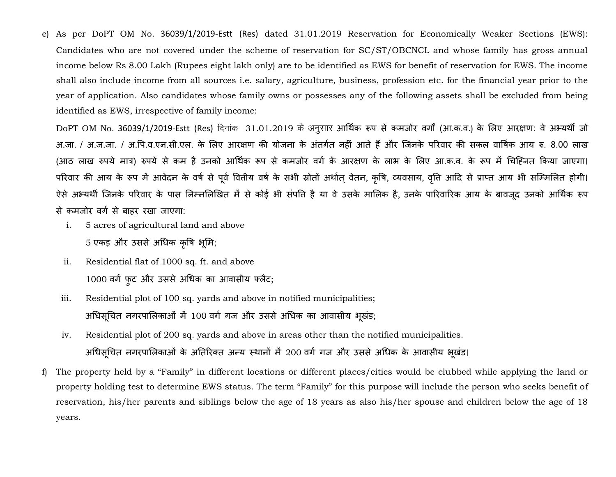e) As per DoPT OM No. 36039/1/2019-Estt (Res) dated 31.01.2019 Reservation for Economically Weaker Sections (EWS): Candidates who are not covered under the scheme of reservation for SC/ST/OBCNCL and whose family has gross annual income below Rs 8.00 Lakh (Rupees eight lakh only) are to be identified as EWS for benefit of reservation for EWS. The income shall also include income from all sources i.e. salary, agriculture, business, profession etc. for the financial year prior to the year of application. Also candidates whose family owns or possesses any of the following assets shall be excluded from being identified as EWS, irrespective of family income:

DoPT OM No. 36039/1/2019-Estt (Res) दिनांक 31.01.2019 के अनुसार आर्थिक रूप से कमजोर वर्गों (आ.क.व.) के लिए आरक्षण: वे अभ्यर्थी जो अ.जा. / अ.ज.जा. / अ.पि.व.एन.सी.एल. के लिए आरक्षण की योजना के अंतर्गत नहीं आते हैं और जिनके परिवार की सकल वार्षिक आय रु. 8.00 लाख (आठ लाख रुपये मात्र) रुपये से कम है उनको आर्थिक रूप से कमजोर वर्ग के आरक्षण के लाभ के लिए आ.क.व. के रूप में चिहिनत किया जाएगा। परिवार की आय के रूप में आवेदन के वर्ष से पूर्व वितीय वर्ष के सभी स्रोतों अर्थात् वेतन, कृषि, व्यवसाय, वृत्ति आदि से प्राप्त आय भी सम्मिलित होगी। ऐसे अभ्यर्थी जिनके परिवार के पास निम्नलिखित में से कोई भी संपति है या वे उसके मालिक है, उनके पारिवारिक आय के बावजूद उनको आर्थिक रूप से कमजोर वर्ग से बाहर रखा जाएगा:

- i. 5 acres of agricultural land and above 5 एकड़ और उससे अधिक कृषि भूमि;
- ii. Residential flat of 1000 sq. ft. and above 1000 वर्ग फुट और उससे अधिक का आवासीय फ्लैट;
- iii. Residential plot of 100 sq. yards and above in notified municipalities; अधिसूचित नगरपालिकाओं में 100 वर्ग गज और उससे अधिक का आवासीय भूखंड;
- iv. Residential plot of 200 sq. yards and above in areas other than the notified municipalities. अधिसूचित नगरपालिकाओं के अतिरिक्त अन्य स्थानों में 200 वर्ग गज और उससे अधिक के आवासीय भूखंड।
- f) The property held by a "Family" in different locations or different places/cities would be clubbed while applying the land or property holding test to determine EWS status. The term "Family" for this purpose will include the person who seeks benefit of reservation, his/her parents and siblings below the age of 18 years as also his/her spouse and children below the age of 18 years.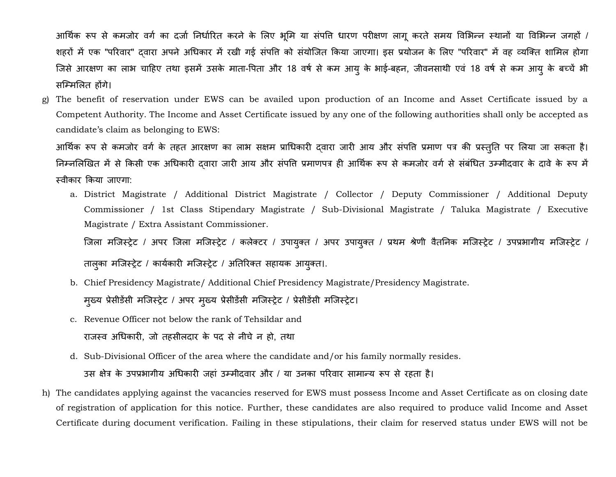आर्थिक रूप से कमजोर वर्ग का दर्जा निर्धारित करने के लिए भूमि या संपति धारण परीक्षण लागू करते समय विभिन्न स्थानों या विभिन्न जगहों / शहरों में एक "परिवार" दवारा अपने अधिकार में रखी गई संपत्ति को संयोजित किया जाएगा। इस प्रयोजन के लिए "परिवार" में वह व्यक्ति शामिल होगा जिसे आरक्षण का लाभ चाहिए तथा इसमें उसके माता-पिता और 18 वर्ष से कम आयु के भाई-बहन, जीवनसाथी एवं 18 वर्ष से कम आयु के बच्चें भी सम्मिलित होंगे।

g) The benefit of reservation under EWS can be availed upon production of an Income and Asset Certificate issued by a Competent Authority. The Income and Asset Certificate issued by any one of the following authorities shall only be accepted as candidate's claim as belonging to EWS:

आर्थिक रूप से कमजोर वर्ग के तहत आरक्षण का लाभ सक्षम प्राधिकारी द्वारा जारी आय और संपत्ति प्रमाण पत्र की प्रस्तुति पर लिया जा सकता है। निम्नलिखित में से किसी एक अधिकारी दवारा जारी आय और संपत्ति प्रमाणपत्र ही आर्थिक रूप से कमजोर वर्ग से संबंधित उम्मीदवार के दावे के रूप में स्वीकार किया जाएगा:

a. District Magistrate / Additional District Magistrate / Collector / Deputy Commissioner / Additional Deputy Commissioner / 1st Class Stipendary Magistrate / Sub-Divisional Magistrate / Taluka Magistrate / Executive Magistrate / Extra Assistant Commissioner.

जिला मजिस्ट्रेट / अपर जिला मजिस्ट्रेट / कलेक्टर / उपायुक्त / अपर उपायुक्त / प्रथम श्रेणी वैतनिक मजिस्ट्रेट / उपप्रभागीय मजिस्ट्रेट /

तालुका मजिस्ट्रेट / कार्यकारी मजिस्ट्रेट / अतिरिक्त सहायक आयुक्त।.

- b. Chief Presidency Magistrate/ Additional Chief Presidency Magistrate/Presidency Magistrate. मुख्य प्रेसीडेंसी मजिस्ट्रेट / अपर मुख्य प्रेसीडेंसी मजिस्ट्रेट / प्रेसीडेंसी मजिस्ट्रेट।
- c. Revenue Officer not below the rank of Tehsildar and राजस्व अधिकारी, जो तहसीलदार के पद से नीचे न हो, तथा
- d. Sub-Divisional Officer of the area where the candidate and/or his family normally resides. उस क्षेत्र के उपप्रभागीय अधिकारी जहां उम्मीदवार और / या उनका परिवार सामान्य रूप से रहता है।
- h) The candidates applying against the vacancies reserved for EWS must possess Income and Asset Certificate as on closing date of registration of application for this notice. Further, these candidates are also required to produce valid Income and Asset Certificate during document verification. Failing in these stipulations, their claim for reserved status under EWS will not be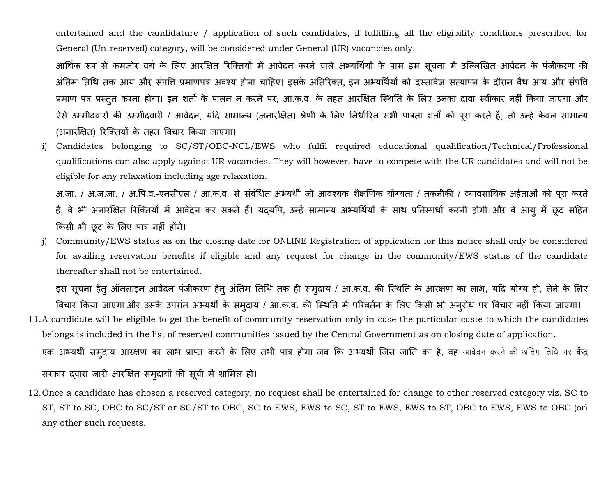entertained and the candidature / application of such candidates, if fulfilling all the eligibility conditions prescribed for General (Un-reserved) category, will be considered under General (UR) vacancies only.

आर्थिक रूप से कमजोर वर्ग के लिए आरक्षित रिक्तियों में आवेदन करने वाले अभ्यर्थियों के पास इस सूचना में उल्लिखित आवेदन के पंजीकरण की अंतिम तिथि तक आय और संपत्ति प्रमाणपत्र अवश्य होना चाहिए। इसके अतिरिक्त, इन अभ्यर्थियों को दस्तावेज सत्यापन के दौरान वैध आय और संपत्ति प्रमाण पत्र प्रस्तुत करना होगा। इन शर्तों के पालन न करने पर, आ.क.व. के तहत आरक्षित स्थिति के लिए उनका दावा स्वीकार नहीं किया जाएगा और ऐसे उम्मीदवारों की उम्मीदवारी / आवेदन, यदि सामान्य (अनारक्षित) श्रेणी के लिए निर्धारित सभी पात्रता शर्तों को पूरा करते हैं, तो उन्हें केवल सामान्य (अनारक्षित) रिक्तियों के तहत विचार किया जाएगा।

i) Candidates belonging to SC/ST/OBC-NCL/EWS who fulfil required educational qualification/Technical/Professional qualifications can also apply against UR vacancies. They will however, have to compete with the UR candidates and will not be eligible for any relaxation including age relaxation.

अ.जा. / अ.ज.जा. / अ.पि.व.-एनसीएल / आ.क.व. से संबंधित अभ्यर्थी जो आवश्यक शैक्षणिक योग्यता / तकनीकी / व्यावसायिक अर्हताओं को पूरा करते हैं, वे भी अनारक्षित रिक्तियों में आवेदन कर सकते हैं। यदयपि, उन्हें सामान्य अभ्यर्थियों के साथ प्रतिस्पर्धा करनी होगी और वे आयु में छूट सहित ककसी भी छूट के शलए पात्र नहीं होंर्े।

j) Community/EWS status as on the closing date for ONLINE Registration of application for this notice shall only be considered for availing reservation benefits if eligible and any request for change in the community/EWS status of the candidate thereafter shall not be entertained.

इस सूचना हेतु ऑनलाइन आवेदन पंजीकरण हेतु अंतिम तिथि तक ही समुदाय / आ.क.व. की स्थिति के आरक्षण का लाभ, यदि योग्य हो, लेने के लिए विचार किया जाएगा और उसके उपरांत अभ्यर्थी के समुदाय / आ.क.व. की स्थिति में परिवर्तन के लिए किसी भी अनुरोध पर विचार नहीं किया जाएगा। 11.A candidate will be eligible to get the benefit of community reservation only in case the particular caste to which the candidates belongs is included in the list of reserved communities issued by the Central Government as on closing date of application.

एक अभ्यर्थी समुदाय आरक्षण का लाभ प्राप्त करने के लिए तभी पात्र होगा जब कि अभ्यर्थी जिस जाति का है, वह आवेदन करने की अंतिम तिथि पर केंद्र

सरकार दवारा जारी आरक्षित समुदायों की सूची में शामिल हो।

12.Once a candidate has chosen a reserved category, no request shall be entertained for change to other reserved category viz. SC to ST, ST to SC, OBC to SC/ST or SC/ST to OBC, SC to EWS, EWS to SC, ST to EWS, EWS to ST, OBC to EWS, EWS to OBC (or) any other such requests.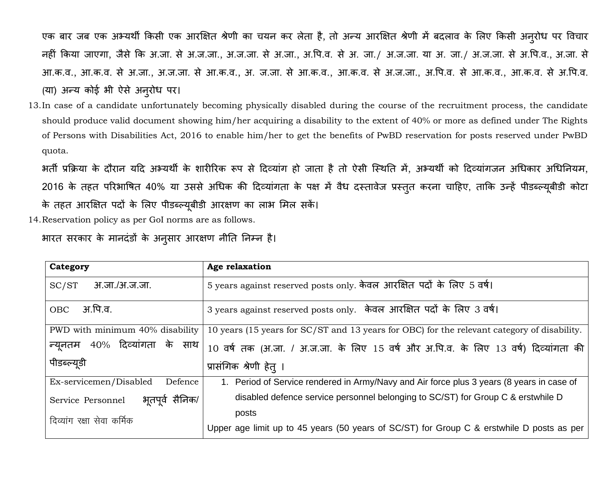एक बार जब एक अभ्यर्थी किसी एक आरक्षित श्रेणी का चयन कर लेता है, तो अन्य आरक्षित श्रेणी में बदलाव के लिए किसी अनुरोध पर विचार नहीं किया जाएगा, जैसे कि अ.जा. से अ.ज.जा., अ.ज.जा. से अ.जा., अ.पि.व. से अ. जा./ अ.ज.जा. या अ. ज.जा. से अ.पि.व., अ.जा. से आ.क.व., आ.क.व. से अ.जा., अ.ज.जा. से आ.क.व., अ. ज.जा. से आ.क.व., आ.क.व. से अ.ज.जा., अ.पि.व. से आ.क.व. से अ.पि.व. (या) अन्य कोई भी ऐसे अनुरोध पर।

13.In case of a candidate unfortunately becoming physically disabled during the course of the recruitment process, the candidate should produce valid document showing him/her acquiring a disability to the extent of 40% or more as defined under The Rights of Persons with Disabilities Act, 2016 to enable him/her to get the benefits of PwBD reservation for posts reserved under PwBD quota.

भर्ती प्रक्रिया के दौरान यदि अभ्यर्थी के शारीरिक रूप से दिव्यांग हो जाता है तो ऐसी स्थिति में, अभ्यर्थी को दिव्यांगजन अधिकार अधिनियम, 2016 के तहत परिभाषित 40% या उससे अधिक की दिव्यांगता के पक्ष में वैध दस्तावेज प्रस्तुत करना चाहिए, ताकि उन्हें पीडब्ल्यूबीडी कोटा के तहत आरक्षित पदों के लिए पीडब्ल्यूबीडी आरक्षण का लाभ मिल सकें।

14.Reservation policy as per GoI norms are as follows.

भारत सरकार के मानदंडों के अनुसार आरक्षण नीति निम्न है।

| Category                             | Age relaxation                                                                                    |  |  |  |  |  |  |
|--------------------------------------|---------------------------------------------------------------------------------------------------|--|--|--|--|--|--|
| SC/ST<br>अ.जा./अ.ज.जा.               | 5 years against reserved posts only. केवल आरक्षित पदों के लिए 5 वर्ष।                             |  |  |  |  |  |  |
| OBC अ.पि.व.                          | 3 years against reserved posts only. केवल आरक्षित पदों के लिए 3 वर्ष।                             |  |  |  |  |  |  |
| PWD with minimum 40% disability      | 10 years (15 years for SC/ST and 13 years for OBC) for the relevant category of disability.       |  |  |  |  |  |  |
| न्यूनतम   40%  दिव्यांगता  के  साथ   | $\mid$ 10 वर्ष तक (अ.जा. / अ.ज.जा. के लिए 15 वर्ष और अ.पि.व. के लिए 13 वर्ष) दिव्यांगता की $\mid$ |  |  |  |  |  |  |
| पीडब्ल्यूडी                          | प्रासंगिक श्रेणी हेत् ।                                                                           |  |  |  |  |  |  |
| Ex-servicemen/Disabled<br>Defence    | 1. Period of Service rendered in Army/Navy and Air force plus 3 years (8 years in case of         |  |  |  |  |  |  |
| भूतपूर्व सैनिक/<br>Service Personnel | disabled defence service personnel belonging to SC/ST) for Group C & erstwhile D                  |  |  |  |  |  |  |
| दिव्यांग रक्षा सेवा कर्मिक           | posts                                                                                             |  |  |  |  |  |  |
|                                      | Upper age limit up to 45 years (50 years of SC/ST) for Group C & erstwhile D posts as per         |  |  |  |  |  |  |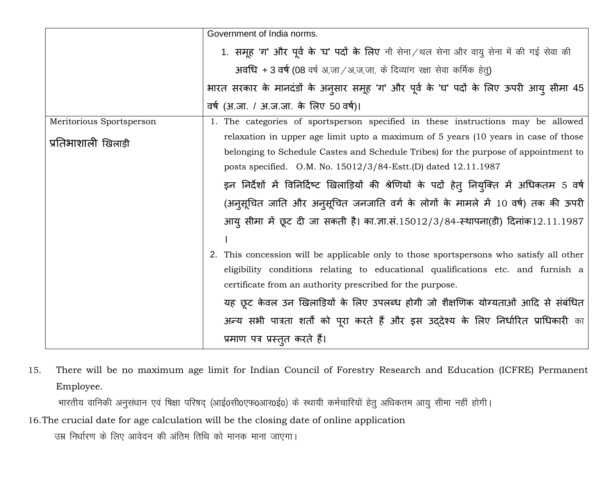|                          | Government of India norms.                                                                   |
|--------------------------|----------------------------------------------------------------------------------------------|
|                          | 1. समूह 'ग' और पूर्व के 'घ' पदों के लिए नौ सेना/थल सेना और वायु सेना में की गई सेवा की       |
|                          | अवधि + 3 वर्ष (08 वर्ष अ,जा / अ,ज,जा, के दिव्यांग रक्षा सेवा कर्मिक हेतु)                    |
|                          | भारत सरकार के मानदंडों के अनुसार समूह 'ग' और पूर्व के 'घ' पदों के लिए ऊपरी आयु सीमा 45       |
|                          | वर्ष (अ.जा. / अ.ज.जा. के लिए 50 वर्ष)।                                                       |
| Meritorious Sportsperson | 1. The categories of sportsperson specified in these instructions may be allowed             |
| प्रतिभाशाली खिलाड़ी      | relaxation in upper age limit upto a maximum of 5 years (10 years in case of those           |
|                          | belonging to Schedule Castes and Schedule Tribes) for the purpose of appointment to          |
|                          | posts specified. O.M. No. 15012/3/84-Estt.(D) dated 12.11.1987                               |
|                          | इन निर्देशों में विनिर्दिष्ट खिलाड़ियों की श्रेणियों के पदों हेत् नियुक्ति में अधिकतम 5 वर्ष |
|                          | (अनुसूचित जाति और अनुसूचित जनजाति वर्ग के लोगों के मामले में 10 वर्ष) तक की ऊपरी             |
|                          | आयु सीमा में छूट दी जा सकती है। का.ज्ञा.सं.15012/3/84-स्थापना(डी) दिनांक12.11.1987           |
|                          |                                                                                              |
|                          | 2. This concession will be applicable only to those sportspersons who satisfy all other      |
|                          | eligibility conditions relating to educational qualifications etc. and furnish a             |
|                          | certificate from an authority prescribed for the purpose.                                    |
|                          | यह छूट केवल उन खिलाड़ियों के लिए उपलब्ध होगी जो शैक्षणिक योग्यताओं आदि से संबंधित            |
|                          | अन्य सभी पात्रता शर्तों को पूरा करते हैं और इस उद्देश्य के लिए निर्धारित प्राधिकारी का       |
|                          | प्रमाण पत्र प्रस्तुत करते हैं।                                                               |

15. There will be no maximum age limit for Indian Council of Forestry Research and Education (ICFRE) Permanent Employee.

भारतीय वानिकी अनुसंधान एवं षिक्षा परिषद् (आई0सी0एफ0आर0ई0) के स्थायी कर्मचारियों हेतु अधिकतम आयु सीमा नहीं होगी।

16.The crucial date for age calculation will be the closing date of online application

उम्र निर्धारण के लिए आवेदन की अंतिम तिथि को मानक माना जाएगा।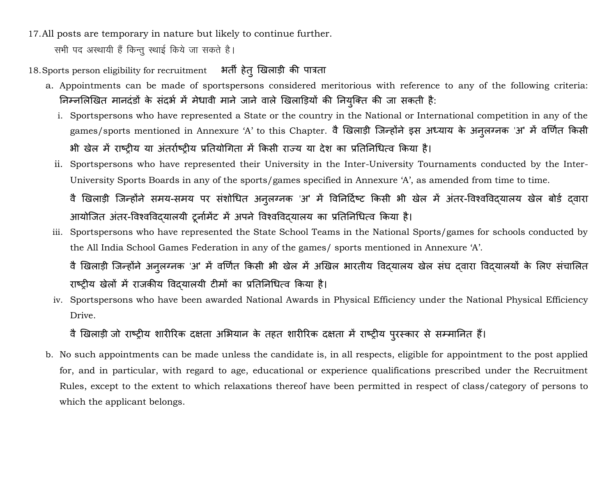17.All posts are temporary in nature but likely to continue further.

सभी पद अस्थायी हैं किन्तु स्थाई किये जा सकते है।

# 18. Sports person eligibility for recruitment भिर्ती हेतु खिलाड़ी की पात्रता

- a. Appointments can be made of sportspersons considered meritorious with reference to any of the following criteria: निम्नलिखित मानदंडों के संदर्भ में मेधावी माने जाने वाले खिलाड़ियों की नियुक्ति की जा सकती है:
	- i. Sportspersons who have represented a State or the country in the National or International competition in any of the games/sports mentioned in Annexure 'A' to this Chapter. वै खिलाड़ी जिन्होंने इस अध्याय के अनुलग्नक 'अ' में वर्णित किसी भी खेल में राष्ट्रीय या अंतर्राष्ट्रीय प्रतियोगिता में किसी राज्य या देश का प्रतिनिधित्व किया है।
	- ii. Sportspersons who have represented their University in the Inter-University Tournaments conducted by the Inter-University Sports Boards in any of the sports/games specified in Annexure 'A', as amended from time to time.

वै खिलाड़ी जिन्होंने समय-समय पर संशोधित अनुलग्नक 'अ' में विनिर्दिष्ट किसी भी खेल में अंतर-विश्वविद्यालय खेल बोर्ड दवारा आयोजित अंतर-विश्वविदयालयी टूर्नामेंट में अपने विश्वविदयालय का प्रतिनिधित्व किया है।

iii. Sportspersons who have represented the State School Teams in the National Sports/games for schools conducted by the All India School Games Federation in any of the games/ sports mentioned in Annexure 'A'.

iv. Sportspersons who have been awarded National Awards in Physical Efficiency under the National Physical Efficiency Drive.

# वै खिलाड़ी जो राष्ट्रीय शारीरिक दक्षता अभियान के तहत शारीरिक दक्षता में राष्ट्रीय पुरस्कार से सम्मानित हैं।

b. No such appointments can be made unless the candidate is, in all respects, eligible for appointment to the post applied for, and in particular, with regard to age, educational or experience qualifications prescribed under the Recruitment Rules, except to the extent to which relaxations thereof have been permitted in respect of class/category of persons to which the applicant belongs.

वै खिलाड़ी जिन्होंने अनुलग्नक 'अ' में वर्णित किसी भी खेल में अखिल भारतीय विद्यालय खेल संघ दवारा विद्यालयों के लिए संचालित राष्ट्रीय खेलों में राजकीय विदयालयी टीमों का प्रतिनिधित्व किया है।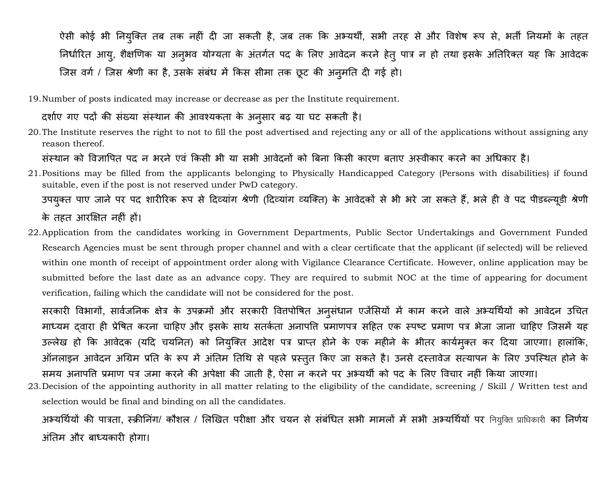ऐसी कोई भी नियुक्ति तब तक नहीं दी जा सकती है, जब तक कि अभ्यर्थी, सभी तरह से और विशेष रूप से, भर्ती नियमों के तहत निर्धारित आयु, शैक्षणिक या अनुभव योग्यता के अंतर्गत पद के लिए आवेदन करने हेतू पात्र न हो तथा इसके अतिरिक्त यह कि आवेदक जिस वर्ग / जिस श्रेणी का है, उसके संबंध में किस सीमा तक छूट की अनुमति दी गई हो।

19.Number of posts indicated may increase or decrease as per the Institute requirement.

दर्शाए गए पदों की संख्या संस्थान की आवश्यकता के अनुसार बढ़ या घट सकती है।

20.The Institute reserves the right to not to fill the post advertised and rejecting any or all of the applications without assigning any reason thereof.

संस्थान को विज्ञापित पद न भरने एवं किसी भी या सभी आवेदनों को बिना किसी कारण बताए अस्वीकार करने का अधिकार है।

- 21.Positions may be filled from the applicants belonging to Physically Handicapped Category (Persons with disabilities) if found suitable, even if the post is not reserved under PwD category.
	- उपयुक्त पाए जाने पर पद शारीरिक रूप से दिव्यांग श्रेणी (दिव्यांग व्यक्ति) के आवेदकों से भी भरे जा सकते हैं, भले ही वे पद पीडब्ल्यूडी श्रेणी के तहत आरक्षित नहीं हों।
- 22.Application from the candidates working in Government Departments, Public Sector Undertakings and Government Funded Research Agencies must be sent through proper channel and with a clear certificate that the applicant (if selected) will be relieved within one month of receipt of appointment order along with Vigilance Clearance Certificate. However, online application may be submitted before the last date as an advance copy. They are required to submit NOC at the time of appearing for document verification, failing which the candidate will not be considered for the post.

सरकारी विभागों, सार्वजनिक क्षेत्र के उपक्रमों और सरकारी वित्तपोषित अनुसंधान एजेंसियों में काम करने वाले अभ्यर्थियों को आवेदन उचित माध्यम दवारा ही प्रेषित करना चाहिए और इसके साथ सतर्कता अनापति प्रमाणपत्र सहित एक स्पष्ट प्रमाण पत्र भेजा जाना चाहिए जिसमें यह उल्लेख हो कि आवेदक (यदि चयनित) को नियुक्ति आदेश पत्र प्राप्त होने के एक महीने के भीतर कार्यमुक्त कर दिया जाएगा। हालांकि, ऑनलाइन आवेदन अग्रिम प्रति के रूप में अंतिम तिथि से पहले प्रस्तुत किए जा सकते है। उनसे दस्तावेज सत्यापन के लिए उपस्थित होने के समय अनापति प्रमाण पत्र जमा करने की अपेक्षा की जाती है, ऐसा न करने पर अभ्यर्थी को पद के लिए विचार नहीं किया जाएगा।

23.Decision of the appointing authority in all matter relating to the eligibility of the candidate, screening / Skill / Written test and selection would be final and binding on all the candidates.

अभ्यर्थियों की पात्रता, स्क्रीनिंग/ कौशल / लिखित परीक्षा और चयन से संबंधित सभी मामलों में सभी अभ्यर्थियों पर नियुक्ति प्राधिकारी का निर्णय अंतिम और बाध्यकारी होगा।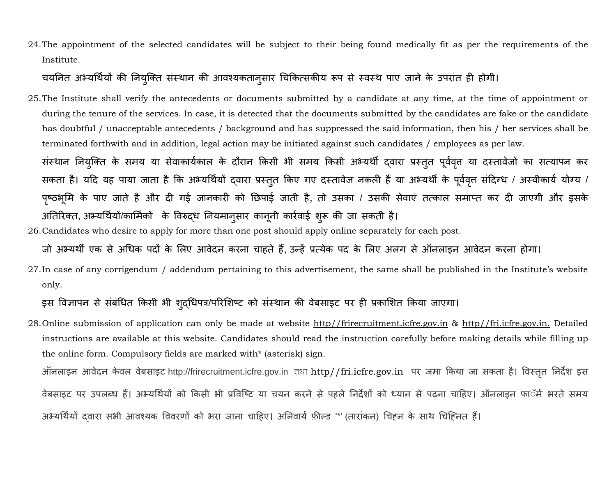24.The appointment of the selected candidates will be subject to their being found medically fit as per the requirements of the Institute.

# चयनित अभ्यर्थियों की नियुक्ति संस्थान की आवश्यकतानुसार चिकित्सकीय रूप से स्वस्थ पाए जाने के उपरांत ही होगी।

25.The Institute shall verify the antecedents or documents submitted by a candidate at any time, at the time of appointment or during the tenure of the services. In case, it is detected that the documents submitted by the candidates are fake or the candidate has doubtful / unacceptable antecedents / background and has suppressed the said information, then his / her services shall be terminated forthwith and in addition, legal action may be initiated against such candidates / employees as per law.

संस्थान नियुक्ति के समय या सेवाकार्यकाल के दौरान किसी भी समय किसी अभ्यर्थी दवारा प्रस्तुत पूर्ववृत्त या दस्तावेजों का सत्यापन कर सकता है। यदि यह पाया जाता है कि अभ्यर्थियों द्वारा प्रस्तुत किए गए दस्तावेज नकली हैं या अभ्यर्थी के पूर्ववृत संदिग्ध / अस्वीकार्य योग्य / पृष्ठभूमि के पाए जाते है और दी गई जानकारी को छिपाई जाती है, तो उसका / उसकी सेवाएं तत्काल समाप्त कर दी जाएगी और इसके अतिरिक्त, अभ्यर्थियों/कार्मिकों के विरुद्ध नियमानुसार कानूनी कार्रवाई शुरू की जा सकती है।

26.Candidates who desire to apply for more than one post should apply online separately for each post.

जो अभ्यर्थी एक से अधिक पदों के लिए आवेदन करना चाहते हैं, उन्हें प्रत्येक पद के लिए अलग से ऑनलाइन आवेदन करना होगा।

27.In case of any corrigendum / addendum pertaining to this advertisement, the same shall be published in the Institute's website only.

इस विज्ञापन से संबंधित किसी भी शुद्धिपत्र/परिशिष्ट को संस्थान की वेबसाइट पर ही प्रकाशित किया जाएगा।

28. Online submission of application can only be made at website http//frirecruitment.icfre.gov.in & http//fri.icfre.gov.in. Detailed instructions are available at this website. Candidates should read the instruction carefully before making details while filling up the online form. Compulsory fields are marked with\* (asterisk) sign.

ऑनलाइन आवेदन के वल वेबसाइट http://frirecruitment.icfre.gov.in **rFkk** http//fri.icfre.gov.in पि जमा ककया जा सकिा है। ववस्ििृ तनदेश इस वेबसाइट पर उपलब्ध हैं। अभ्यर्थियों को किसी भी प्रविष्टि या चयन करने से पहले निर्देशों को ध्यान से पढ़ना चाहिए। ऑनलाइन फाॅर्म भरते समय अभ्यर्थियों दवारा सभी आवश्यक विवरणों को भरा जाना चाहिए। अनिवार्य फ़ील्ड '\*' (तारांकन) चिहन के साथ चिहिनत हैं।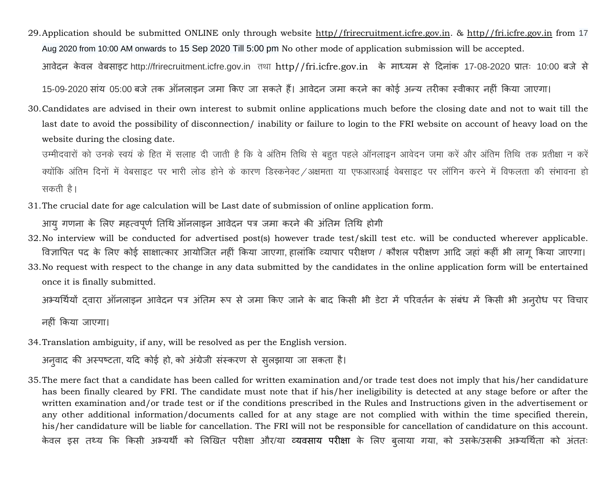29.Application should be submitted ONLINE only through website http//frirecruitment.icfre.gov.in. & http//fri.icfre.gov.in from 17 Aug 2020 from 10:00 AM onwards to 15 Sep 2020 Till 5:00 pm No other mode of application submission will be accepted. आवेदन केवल वेबसाइट http://frirecruitment.icfre.gov.in तथा http//fri.icfre.gov.in के माध्यम से दिनांक 17‐08‐2020 प्रातः 10:00 बजे से

15-09-2020 सांय 05:00 बजे तक ऑनलाइन जमा किए जा सकते हैं। आवेदन जमा करने का कोई अन्य तरीका स्वीकार नहीं किया जाएगा।

30.Candidates are advised in their own interest to submit online applications much before the closing date and not to wait till the last date to avoid the possibility of disconnection/ inability or failure to login to the FRI website on account of heavy load on the website during the closing date.

उम्मीदवारों को उनके स्वयं के हित में सलाह दी जाती है कि वे अंतिम तिथि से बहुत पहले ऑनलाइन आवेदन जमा करें और अंतिम तिथि तक प्रतीक्षा न करें क्योंकि अंतिम दिनों में वेबसाइट पर भारी लोड होने के कारण डिस्कनेक्ट /अक्षमता या एफआरआई वेबसाइट पर लॉगिन करने में विफलता की संभावना हो सकती है।

31.The crucial date for age calculation will be Last date of submission of online application form.

आयु गणना के लिए महत्वपूर्ण तिथि ऑनलाइन आवेदन पत्र जमा करने की अंतिम तिथि होगी

- 32.No interview will be conducted for advertised post(s) however trade test/skill test etc. will be conducted wherever applicable. विज्ञापित पद के लिए कोई साक्षात्कार आयोजित नहीं किया जाएगा, हालांकि व्यापार परीक्षण / कौशल परीक्षण आदि जहां कहीं भी लागू किया जाएगा। 33.No request with respect to the change in any data submitted by the candidates in the online application form will be entertained
- once it is finally submitted.

अभ्यर्थियों दवारा ऑनलाइन आवेदन पत्र अंतिम रूप से जमा किए जाने के बाद किसी भी डेटा में परिवर्तन के संबंध में किसी भी अनुरोध पर विचार

नहीं ककया जाएर्ा।

34.Translation ambiguity, if any, will be resolved as per the English version.

अनुवाद की अस्पष्टता, यदि कोई हो, को अंग्रेजी संस्करण से सुलझाया जा सकता है।

35.The mere fact that a candidate has been called for written examination and/or trade test does not imply that his/her candidature has been finally cleared by FRI. The candidate must note that if his/her ineligibility is detected at any stage before or after the written examination and/or trade test or if the conditions prescribed in the Rules and Instructions given in the advertisement or any other additional information/documents called for at any stage are not complied with within the time specified therein, his/her candidature will be liable for cancellation. The FRI will not be responsible for cancellation of candidature on this account. केवल इस तथ्य कि किसी अभ्यर्थी को लिखित परीक्षा और/या व्यवसाय परीक्षा के लिए बुलाया गया, को उसके/उसकी अभ्यर्थिता को अंततः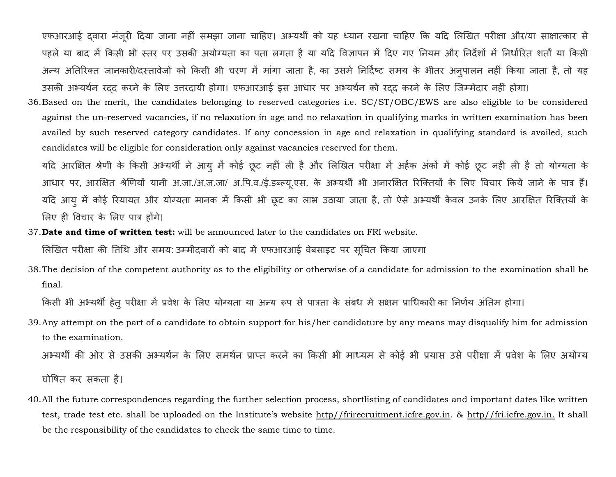एफआरआई दवारा मंजूरी दिया जाना नहीं समझा जाना चाहिए। अभ्यर्थी को यह ध्यान रखना चाहिए कि यदि लिखित परीक्षा और/या साक्षात्कार से पहले या बाद में किसी भी स्तर पर उसकी अयोग्यता का पता लगता है या यदि विज्ञापन में दिए गए नियम और निर्देशों में निर्धारित शर्तों या किसी अन्य अतिरिक्त जानकारी/दस्तावेजों को किसी भी चरण में मांगा जाता है, का उसमें निर्दिष्ट समय के भीतर अनुपालन नहीं किया जाता है, तो यह उसकी अभ्यर्थन रदद करने के लिए उत्तरदायी होगा। एफआरआई इस आधार पर अभ्यर्थन को रदद करने के लिए जिम्मेदार नहीं होगा।

36.Based on the merit, the candidates belonging to reserved categories i.e. SC/ST/OBC/EWS are also eligible to be considered against the un-reserved vacancies, if no relaxation in age and no relaxation in qualifying marks in written examination has been availed by such reserved category candidates. If any concession in age and relaxation in qualifying standard is availed, such candidates will be eligible for consideration only against vacancies reserved for them.

यदि आरक्षित श्रेणी के किसी अभ्यर्थी ने आयु में कोई छूट नहीं ली है और लिखित परीक्षा में अर्हक अंकों में कोई छूट नहीं ली है तो योग्यता के आधार पर, आरक्षित श्रेणियों यानी अ.जा./अ.ज.जा/ अ.पि.व./ई.डब्ल्यू.एस. के अभ्यर्थी भी अनारक्षित रिक्तियों के लिए विचार किये जाने के पात्र हैं। यदि आयु में कोई रियायत और योग्यता मानक में किसी भी छूट का लाभ उठाया जाता है, तो ऐसे अभ्यर्थी केवल उनके लिए आरक्षित रिक्तियों के लिए ही विचार के लिए पात्र होंगे।

37.**Date and time of written test:** will be announced later to the candidates on FRI website.

लिखित परीक्षा की तिथि और समय: उम्मीदवारों को बाद में एफआरआई वेबसाइट पर सूचित किया जाएगा

38.The decision of the competent authority as to the eligibility or otherwise of a candidate for admission to the examination shall be final.

किसी भी अभ्यर्थी हेतु परीक्षा में प्रवेश के लिए योग्यता या अन्य रूप से पात्रता के संबंध में सक्षम प्राधिकारी का निर्णय अंतिम होगा।

39.Any attempt on the part of a candidate to obtain support for his/her candidature by any means may disqualify him for admission to the examination.

अभ्यर्थी की ओर से उसकी अभ्यर्थन के लिए समर्थन प्राप्त करने का किसी भी माध्यम से कोई भी प्रयास उसे परीक्षा में प्रवेश के लिए अयोग्य

घोषित कर सकता है।

40.All the future correspondences regarding the further selection process, shortlisting of candidates and important dates like written test, trade test etc. shall be uploaded on the Institute's website http//frirecruitment.icfre.gov.in. & http//fri.icfre.gov.in. It shall be the responsibility of the candidates to check the same time to time.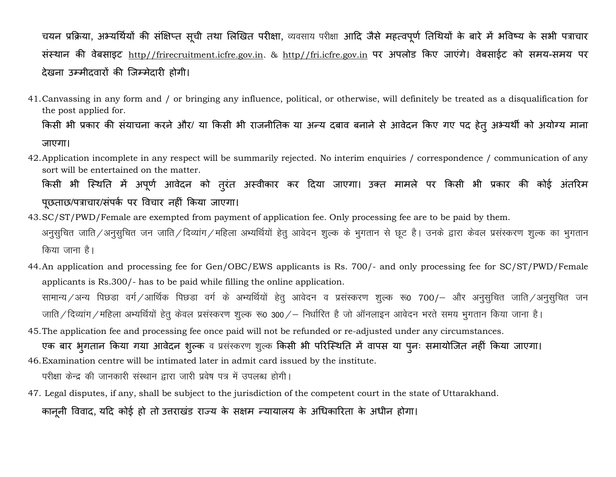चयन प्रक्रिया, अभ्यर्थियों की संक्षिप्त सूची तथा लिखित परीक्षा, व्यवसाय परीक्षा आदि जैसे महत्वपूर्ण तिथियों के बारे में भविष्य के सभी पत्राचार संस्थान की वेबसाइट http//frirecruitment.icfre.gov.in. & http//fri.icfre.gov.in पर अपलोड किए जाएंगे। वेबसाईट को समय-समय पर देखना उम्मीदवारों की जिम्मेदारी होगी।

41.Canvassing in any form and / or bringing any influence, political, or otherwise, will definitely be treated as a disqualification for the post applied for. किसी भी प्रकार की संयाचना करने और/ या किसी भी राजनीतिक या अन्य दबाव बनाने से आवेदन किए गए पद हेत् अभ्यर्थी को अयोग्य माना

जाएगा।

42.Application incomplete in any respect will be summarily rejected. No interim enquiries / correspondence / communication of any sort will be entertained on the matter.

किसी भी स्थिति में अपूर्ण आवेदन को तुरंत अस्वीकार कर दिया जाएगा। उक्त मामले पर किसी भी प्रकार की कोई अंतरिम पूछताछ/पत्राचार/संपर्क पर विचार नहीं किया जाएगा।

- 43.SC/ST/PWD/Female are exempted from payment of application fee. Only processing fee are to be paid by them. अनुसुचित जाति ⁄ अनुसुचित जन जाति ⁄ दिव्यांग ⁄ महिला अभ्यर्थियों हेतु आवेदन शुल्क के भुगतान से छूट है। उनके द्वारा केवल प्रसंस्करण शुल्क का भुगतान *किया जाना है।*
- 44.An application and processing fee for Gen/OBC/EWS applicants is Rs. 700/- and only processing fee for SC/ST/PWD/Female applicants is Rs.300/- has to be paid while filling the online application.

सामान्य∕अन्य पिछडा वर्ग∕आर्थिक पिछडा वर्ग के अभ्यर्थियों हेतु आवेदन व प्रसंस्करण शुल्क रू0 700/– और अनुसुचित जाति∕अनुसुचित जन जाति / दिव्यांग / महिला अभ्यर्थियों हेतु केवल प्रसंस्करण शुल्क रू0 300 / – निर्धारित है जो ऑनलाइन आवेदन भरते समय भुगतान किया जाना है।

45.The application fee and processing fee once paid will not be refunded or re-adjusted under any circumstances. एक बार भूगतान किया गया आवेदन शुल्क व प्रसंस्करण शुल्क किसी भी परिस्थिति में वापस या पूनः समायोजित नहीं किया जाएगा।

46.Examination centre will be intimated later in admit card issued by the institute.

**i** परीक्षा केन्द्र की जानकारी संस्थान द्वारा जारी प्रवेष पत्र में उपलब्ध होगी।

47. Legal disputes, if any, shall be subject to the jurisdiction of the competent court in the state of Uttarakhand.

कानूनी विवाद, यदि कोई हो तो उत्तराखंड राज्य के सक्षम न्यायालय के अधिकारिता के अधीन होगा।